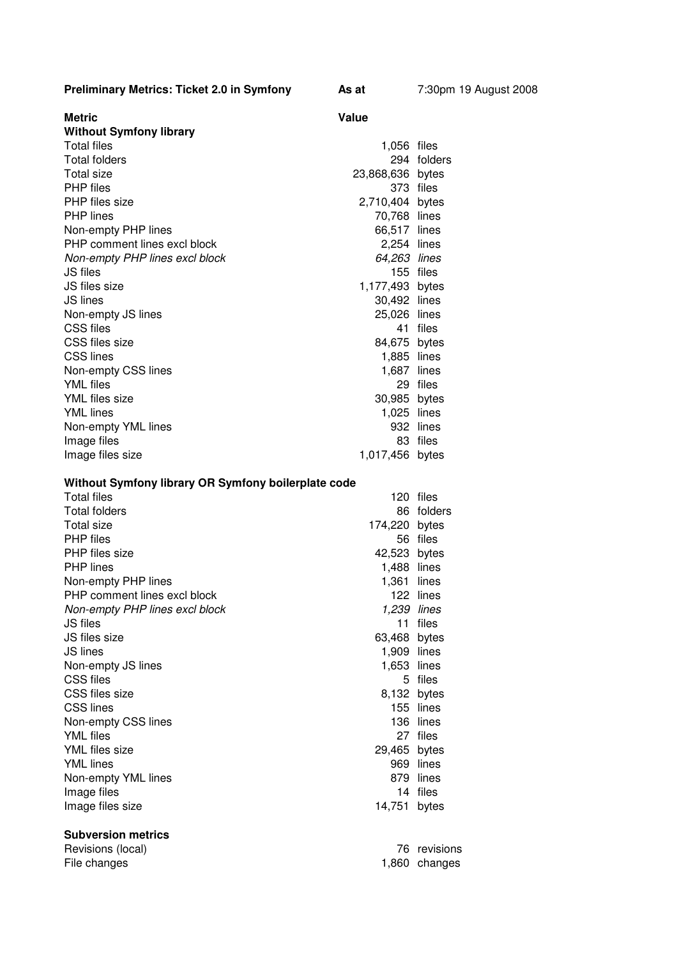| <b>Preliminary Metrics: Ticket 2.0 in Symfony</b> | As at | 7:30pm 19 August 2008 |
|---------------------------------------------------|-------|-----------------------|
|                                                   |       |                       |

| Metric                                              | Value            |             |
|-----------------------------------------------------|------------------|-------------|
| <b>Without Symfony library</b><br>Total files       | 1,056 files      |             |
| Total folders                                       |                  | 294 folders |
| Total size                                          |                  |             |
| PHP files                                           | 23,868,636 bytes | 373 files   |
| PHP files size                                      | 2,710,404 bytes  |             |
| <b>PHP</b> lines                                    | 70,768 lines     |             |
| Non-empty PHP lines                                 | 66,517 lines     |             |
| PHP comment lines excl block                        | 2,254 lines      |             |
| Non-empty PHP lines excl block                      | 64,263 lines     |             |
| JS files                                            |                  | 155 files   |
| JS files size                                       | 1,177,493 bytes  |             |
| <b>JS lines</b>                                     | 30,492 lines     |             |
| Non-empty JS lines                                  | 25,026 lines     |             |
| CSS files                                           |                  | 41 files    |
| CSS files size                                      | 84,675 bytes     |             |
| <b>CSS lines</b>                                    | 1,885 lines      |             |
| Non-empty CSS lines                                 | 1,687 lines      |             |
| <b>YML</b> files                                    |                  | 29 files    |
| YML files size                                      | 30,985 bytes     |             |
| <b>YML</b> lines                                    | 1,025 lines      |             |
| Non-empty YML lines                                 |                  | 932 lines   |
| Image files                                         |                  | 83 files    |
| Image files size                                    | 1,017,456 bytes  |             |
|                                                     |                  |             |
| Without Symfony library OR Symfony boilerplate code |                  |             |
| <b>Total files</b>                                  |                  | 120 files   |
| Total folders                                       |                  | 86 folders  |
| <b>Total size</b>                                   | 174,220          | bytes       |
| <b>PHP</b> files                                    |                  | 56 files    |
| PHP files size                                      | 42,523 bytes     |             |
| PHP lines                                           | 1,488 lines      |             |
| Non-empty PHP lines                                 | 1,361 lines      |             |
| PHP comment lines excl block                        |                  | 122 lines   |
| Non-empty PHP lines excl block                      | 1,239 lines      |             |
| <b>JS</b> files                                     |                  | 11 files    |
| JS files size                                       | 63,468 bytes     |             |
| JS lines                                            | 1,909            | lines       |
| Non-empty JS lines                                  | 1,653            | lines       |

Non-empty JS lines 1,653 lines 1,653 lines 1,653 lines

CSS files size 8,132 bytes 8,132 bytes 8,132 bytes 8,132 bytes 8,132 bytes 8,132 bytes 8,132 bytes 8,132 bytes 8,132 bytes 8,132 bytes 8,132 bytes 8,132 bytes 8,132 bytes 8,132 bytes 8,132 bytes 8,132 bytes 8,132 bytes 8,1

Non-empty CSS lines 136 lines<br>
YML files 27 files

YML files size bytes 29,465 bytes YML lines 969 lines<br>Non-empty YML lines 979 lines 979 lines

Image files 14 files<br>
Image files size 14,751 bytes

Revisions (local) Revisions 76 revisions 76 revisions File changes **changes** 1,860 changes

155 lines

27 files

CSS files

Non-empty YML lines

**Subversion metrics**

Image files size